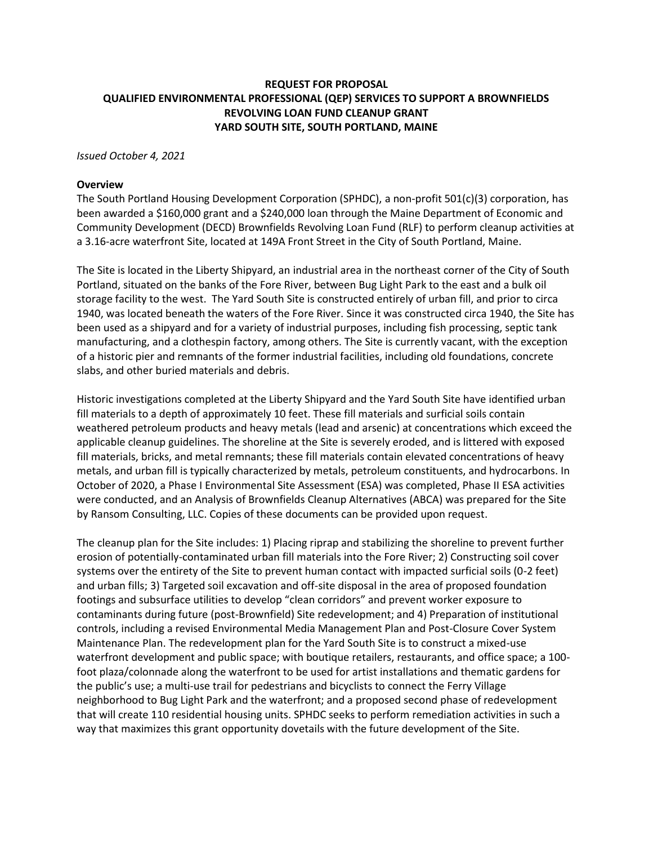# **REQUEST FOR PROPOSAL QUALIFIED ENVIRONMENTAL PROFESSIONAL (QEP) SERVICES TO SUPPORT A BROWNFIELDS REVOLVING LOAN FUND CLEANUP GRANT YARD SOUTH SITE, SOUTH PORTLAND, MAINE**

*Issued October 4, 2021*

#### **Overview**

The South Portland Housing Development Corporation (SPHDC), a non-profit 501(c)(3) corporation, has been awarded a \$160,000 grant and a \$240,000 loan through the Maine Department of Economic and Community Development (DECD) Brownfields Revolving Loan Fund (RLF) to perform cleanup activities at a 3.16-acre waterfront Site, located at 149A Front Street in the City of South Portland, Maine.

The Site is located in the Liberty Shipyard, an industrial area in the northeast corner of the City of South Portland, situated on the banks of the Fore River, between Bug Light Park to the east and a bulk oil storage facility to the west. The Yard South Site is constructed entirely of urban fill, and prior to circa 1940, was located beneath the waters of the Fore River. Since it was constructed circa 1940, the Site has been used as a shipyard and for a variety of industrial purposes, including fish processing, septic tank manufacturing, and a clothespin factory, among others. The Site is currently vacant, with the exception of a historic pier and remnants of the former industrial facilities, including old foundations, concrete slabs, and other buried materials and debris.

Historic investigations completed at the Liberty Shipyard and the Yard South Site have identified urban fill materials to a depth of approximately 10 feet. These fill materials and surficial soils contain weathered petroleum products and heavy metals (lead and arsenic) at concentrations which exceed the applicable cleanup guidelines. The shoreline at the Site is severely eroded, and is littered with exposed fill materials, bricks, and metal remnants; these fill materials contain elevated concentrations of heavy metals, and urban fill is typically characterized by metals, petroleum constituents, and hydrocarbons. In October of 2020, a Phase I Environmental Site Assessment (ESA) was completed, Phase II ESA activities were conducted, and an Analysis of Brownfields Cleanup Alternatives (ABCA) was prepared for the Site by Ransom Consulting, LLC. Copies of these documents can be provided upon request.

The cleanup plan for the Site includes: 1) Placing riprap and stabilizing the shoreline to prevent further erosion of potentially-contaminated urban fill materials into the Fore River; 2) Constructing soil cover systems over the entirety of the Site to prevent human contact with impacted surficial soils (0-2 feet) and urban fills; 3) Targeted soil excavation and off-site disposal in the area of proposed foundation footings and subsurface utilities to develop "clean corridors" and prevent worker exposure to contaminants during future (post-Brownfield) Site redevelopment; and 4) Preparation of institutional controls, including a revised Environmental Media Management Plan and Post-Closure Cover System Maintenance Plan. The redevelopment plan for the Yard South Site is to construct a mixed-use waterfront development and public space; with boutique retailers, restaurants, and office space; a 100 foot plaza/colonnade along the waterfront to be used for artist installations and thematic gardens for the public's use; a multi-use trail for pedestrians and bicyclists to connect the Ferry Village neighborhood to Bug Light Park and the waterfront; and a proposed second phase of redevelopment that will create 110 residential housing units. SPHDC seeks to perform remediation activities in such a way that maximizes this grant opportunity dovetails with the future development of the Site.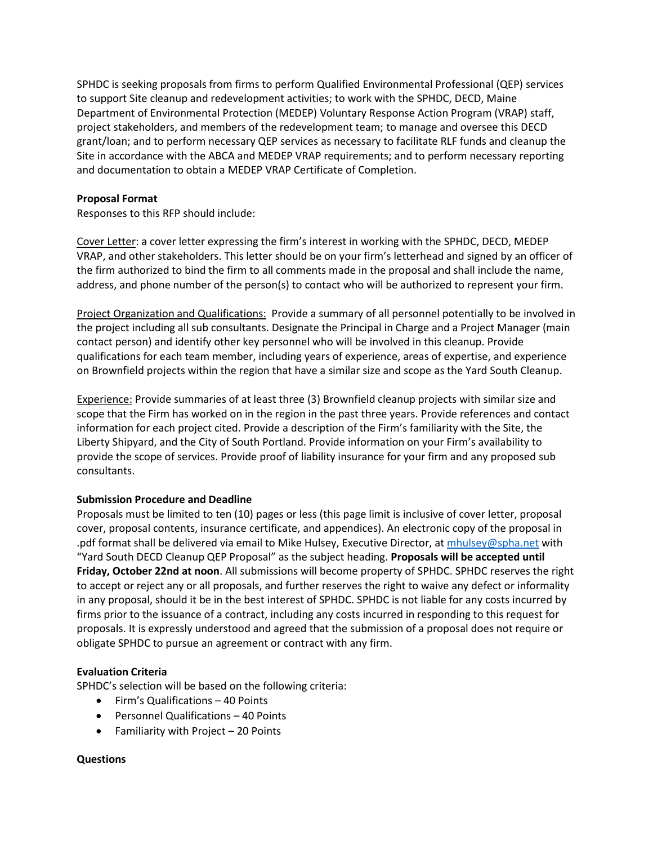SPHDC is seeking proposals from firms to perform Qualified Environmental Professional (QEP) services to support Site cleanup and redevelopment activities; to work with the SPHDC, DECD, Maine Department of Environmental Protection (MEDEP) Voluntary Response Action Program (VRAP) staff, project stakeholders, and members of the redevelopment team; to manage and oversee this DECD grant/loan; and to perform necessary QEP services as necessary to facilitate RLF funds and cleanup the Site in accordance with the ABCA and MEDEP VRAP requirements; and to perform necessary reporting and documentation to obtain a MEDEP VRAP Certificate of Completion.

## **Proposal Format**

Responses to this RFP should include:

Cover Letter: a cover letter expressing the firm's interest in working with the SPHDC, DECD, MEDEP VRAP, and other stakeholders. This letter should be on your firm's letterhead and signed by an officer of the firm authorized to bind the firm to all comments made in the proposal and shall include the name, address, and phone number of the person(s) to contact who will be authorized to represent your firm.

Project Organization and Qualifications: Provide a summary of all personnel potentially to be involved in the project including all sub consultants. Designate the Principal in Charge and a Project Manager (main contact person) and identify other key personnel who will be involved in this cleanup. Provide qualifications for each team member, including years of experience, areas of expertise, and experience on Brownfield projects within the region that have a similar size and scope as the Yard South Cleanup.

Experience: Provide summaries of at least three (3) Brownfield cleanup projects with similar size and scope that the Firm has worked on in the region in the past three years. Provide references and contact information for each project cited. Provide a description of the Firm's familiarity with the Site, the Liberty Shipyard, and the City of South Portland. Provide information on your Firm's availability to provide the scope of services. Provide proof of liability insurance for your firm and any proposed sub consultants.

# **Submission Procedure and Deadline**

Proposals must be limited to ten (10) pages or less (this page limit is inclusive of cover letter, proposal cover, proposal contents, insurance certificate, and appendices). An electronic copy of the proposal in .pdf format shall be delivered via email to Mike Hulsey, Executive Director, at [mhulsey@spha.net](mailto:mhulsey@spha.net) with "Yard South DECD Cleanup QEP Proposal" as the subject heading. **Proposals will be accepted until Friday, October 22nd at noon**. All submissions will become property of SPHDC. SPHDC reserves the right to accept or reject any or all proposals, and further reserves the right to waive any defect or informality in any proposal, should it be in the best interest of SPHDC. SPHDC is not liable for any costs incurred by firms prior to the issuance of a contract, including any costs incurred in responding to this request for proposals. It is expressly understood and agreed that the submission of a proposal does not require or obligate SPHDC to pursue an agreement or contract with any firm.

### **Evaluation Criteria**

SPHDC's selection will be based on the following criteria:

- Firm's Qualifications 40 Points
- Personnel Qualifications 40 Points
- Familiarity with Project  $-20$  Points

### **Questions**